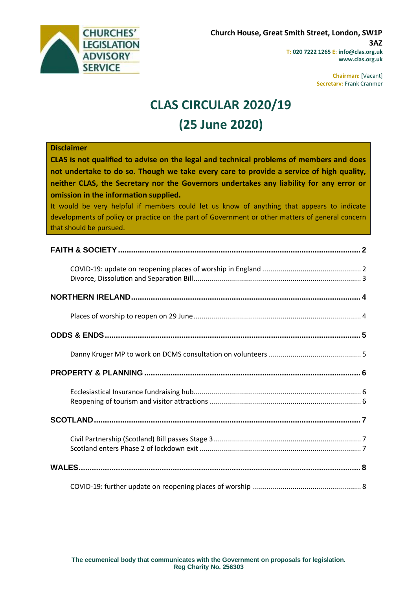

**Chairman:** [Vacant] **Secretary:** Frank Cranmer

# **CLAS CIRCULAR 2020/19 (25 June 2020)**

### **Disclaimer**

**CLAS is not qualified to advise on the legal and technical problems of members and does not undertake to do so. Though we take every care to provide a service of high quality, neither CLAS, the Secretary nor the Governors undertakes any liability for any error or omission in the information supplied.**

It would be very helpful if members could let us know of anything that appears to indicate developments of policy or practice on the part of Government or other matters of general concern that should be pursued.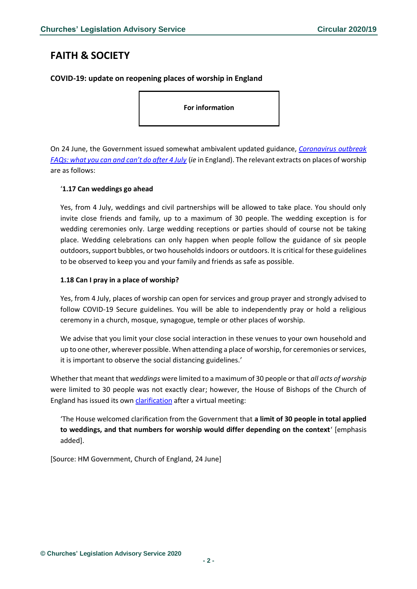# <span id="page-1-0"></span>**FAITH & SOCIETY**

<span id="page-1-1"></span>**COVID-19: update on reopening places of worship in England**

**For information** 

On 24 June, the Government issued somewhat ambivalent updated guidance, *[Coronavirus outbreak](https://www.gov.uk/government/publications/coronavirus-outbreak-faqs-what-you-can-and-cant-do/coronavirus-outbreak-faqs-what-you-can-and-cant-do-after-4-july)  [FAQs: what you can and can't do after 4 July](https://www.gov.uk/government/publications/coronavirus-outbreak-faqs-what-you-can-and-cant-do/coronavirus-outbreak-faqs-what-you-can-and-cant-do-after-4-july)* (*ie* in England). The relevant extracts on places of worship are as follows:

### '**1.17 Can weddings go ahead**

Yes, from 4 July, weddings and civil partnerships will be allowed to take place. You should only invite close friends and family, up to a maximum of 30 people. The wedding exception is for wedding ceremonies only. Large wedding receptions or parties should of course not be taking place. Wedding celebrations can only happen when people follow the guidance of six people outdoors, support bubbles, or two householdsindoors or outdoors. It is critical for these guidelines to be observed to keep you and your family and friends as safe as possible.

### **1.18 Can I pray in a place of worship?**

Yes, from 4 July, places of worship can open for services and group prayer and strongly advised to follow COVID-19 Secure guidelines. You will be able to independently pray or hold a religious ceremony in a church, mosque, synagogue, temple or other places of worship.

We advise that you limit your close social interaction in these venues to your own household and up to one other, wherever possible. When attending a place of worship, for ceremonies or services, it is important to observe the social distancing guidelines.'

Whether that meant that *weddings* were limited to a maximum of 30 people or that *all acts of worship* were limited to 30 people was not exactly clear; however, the House of Bishops of the Church of England has issued its own [clarification](https://www.churchofengland.org/more/media-centre/news/house-bishops-statement-government-covid-19-guidance) after a virtual meeting:

'The House welcomed clarification from the Government that **a limit of 30 people in total applied to weddings, and that numbers for worship would differ depending on the context**' [emphasis added].

[Source: HM Government, Church of England, 24 June]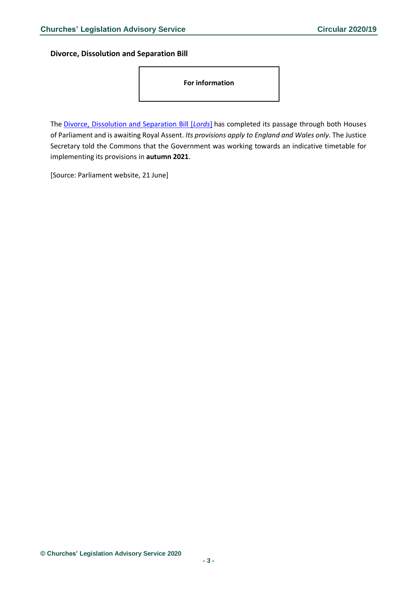<span id="page-2-0"></span>**Divorce, Dissolution and Separation Bill**

**For information** 

The [Divorce, Dissolution and Separation Bill \[](https://publications.parliament.uk/pa/bills/cbill/58-01/0125/20125.pdf)*Lords*] has completed its passage through both Houses of Parliament and is awaiting Royal Assent. *Its provisions apply to England and Wales only*. The Justice Secretary told the Commons that the Government was working towards an indicative timetable for implementing its provisions in **autumn 2021**.

[Source: Parliament website, 21 June]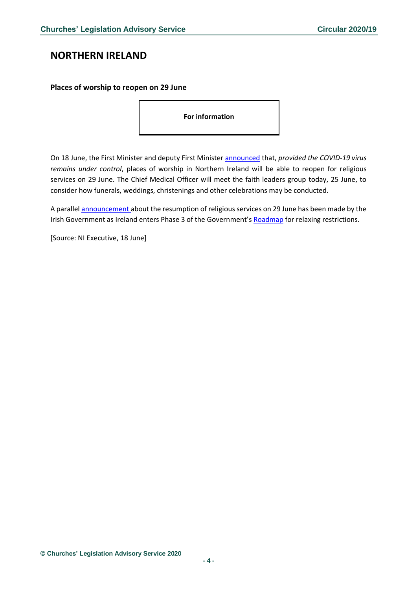# <span id="page-3-0"></span>**NORTHERN IRELAND**

#### <span id="page-3-1"></span>**Places of worship to reopen on 29 June**

**For information** 

On 18 June, the First Minister and deputy First Minister [announced](https://www.executiveoffice-ni.gov.uk/news/executive-daily-update-initiatives-deal-coronavirus-18-june-2020) that, *provided the COVID-19 virus remains under control*, places of worship in Northern Ireland will be able to reopen for religious services on 29 June. The Chief Medical Officer will meet the faith leaders group today, 25 June, to consider how funerals, weddings, christenings and other celebrations may be conducted.

A parallel **[announcement](https://www.gov.ie/en/publication/d06271-easing-the-covid-19-restrictions-on-29-june-phase-3/#cultural-and-religious)** about the resumption of religious services on 29 June has been made by the Irish Government as Ireland enters Phase 3 of the Government's [Roadmap](https://www.gov.ie/en/news/58bc8b-taoiseach-announces-roadmap-for-reopening-society-and-business-and-u/) for relaxing restrictions.

[Source: NI Executive, 18 June]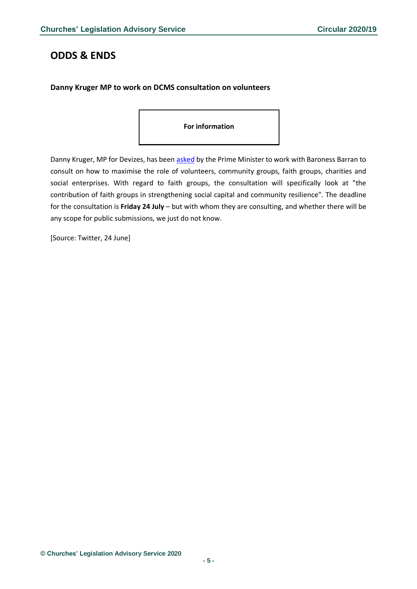# <span id="page-4-0"></span>**ODDS & ENDS**

### <span id="page-4-1"></span>**Danny Kruger MP to work on DCMS consultation on volunteers**

#### **For information**

Danny Kruger, MP for Devizes, has been [asked](https://twitter.com/danny__kruger/status/1275831779295928322/photo/1) by the Prime Minister to work with Baroness Barran to consult on how to maximise the role of volunteers, community groups, faith groups, charities and social enterprises. With regard to faith groups, the consultation will specifically look at "the contribution of faith groups in strengthening social capital and community resilience". The deadline for the consultation is **Friday 24 July** – but with whom they are consulting, and whether there will be any scope for public submissions, we just do not know.

[Source: Twitter, 24 June]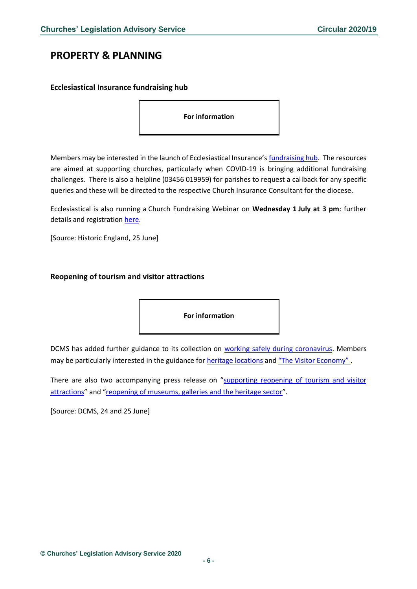# <span id="page-5-0"></span>**PROPERTY & PLANNING**

### <span id="page-5-1"></span>**Ecclesiastical Insurance fundraising hub**

**For information** 

Members may be interested in the launch of Ecclesiastical Insurance's [fundraising hub.](http://communicatoremail.com/In/241391272/0/svaGsUw5qNZRDnl5YAp8K~Ii_2GTxNQRHMJzaTEapi9/) The resources are aimed at supporting churches, particularly when COVID-19 is bringing additional fundraising challenges. There is also a helpline (03456 019959) for parishes to request a callback for any specific queries and these will be directed to the respective Church Insurance Consultant for the diocese.

Ecclesiastical is also running a Church Fundraising Webinar on **Wednesday 1 July at 3 pm**: further details and registratio[n here.](https://live.asset.tv/top-tips-continue-fundraising-your-church-during-covid-19-and-beyond)

[Source: Historic England, 25 June]

#### <span id="page-5-2"></span>**Reopening of tourism and visitor attractions**

**For information** 

DCMS has added further guidance to its collection on [working safely during coronavirus.](https://www.gov.uk/guidance/working-safely-during-coronavirus-covid-19) Members may be particularly interested in the guidance for [heritage locations](https://www.gov.uk/guidance/working-safely-during-coronavirus-covid-19/heritage-locations) and ["The Visitor Economy"](https://www.gov.uk/guidance/working-safely-during-coronavirus-covid-19/the-visitor-economy) .

There are also two accompanying press release on "[supporting reopening of tourism and visitor](https://www.gov.uk/government/news/new-government-guidance-supports-reopening-of-tourism-and-visitor-attractions-on-july-4)  [attractions](https://www.gov.uk/government/news/new-government-guidance-supports-reopening-of-tourism-and-visitor-attractions-on-july-4)" and "[reopening of museums, galleries and the heritage sector](https://www.gov.uk/government/news/new-guidance-for-reopening-of-museums-galleries-and-the-heritage-sector)".

[Source: DCMS, 24 and 25 June]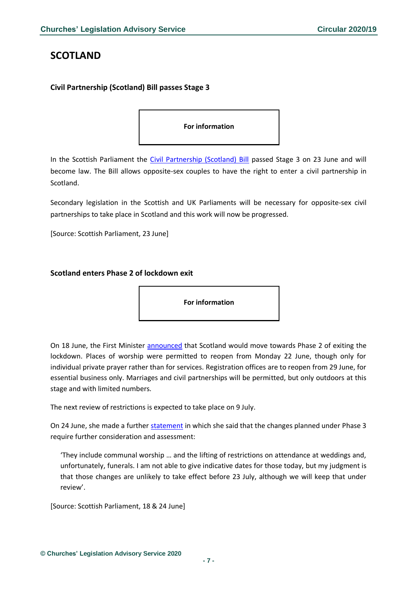# <span id="page-6-0"></span>**SCOTLAND**

### <span id="page-6-1"></span>**Civil Partnership (Scotland) Bill passes Stage 3**

#### **For information**

In the Scottish Parliament the [Civil Partnership \(Scotland\) Bill](https://beta.parliament.scot/bills/civil-partnership-scotland-bill) passed Stage 3 on 23 June and will become law. The Bill allows opposite-sex couples to have the right to enter a civil partnership in Scotland.

Secondary legislation in the Scottish and UK Parliaments will be necessary for opposite-sex civil partnerships to take place in Scotland and this work will now be progressed.

[Source: Scottish Parliament, 23 June]

### <span id="page-6-2"></span>**Scotland enters Phase 2 of lockdown exit**

**For information** 

On 18 June, the First Minister [announced](http://www.parliament.scot/parliamentarybusiness/report.aspx?r=12702) that Scotland would move towards Phase 2 of exiting the lockdown. Places of worship were permitted to reopen from Monday 22 June, though only for individual private prayer rather than for services. Registration offices are to reopen from 29 June, for essential business only. Marriages and civil partnerships will be permitted, but only outdoors at this stage and with limited numbers.

The next review of restrictions is expected to take place on 9 July.

On 24 June, she made a further [statement](http://www.parliament.scot/parliamentarybusiness/report.aspx?r=12715&i=114994) in which she said that the changes planned under Phase 3 require further consideration and assessment:

'They include communal worship … and the lifting of restrictions on attendance at weddings and, unfortunately, funerals. I am not able to give indicative dates for those today, but my judgment is that those changes are unlikely to take effect before 23 July, although we will keep that under review'.

[Source: Scottish Parliament, 18 & 24 June]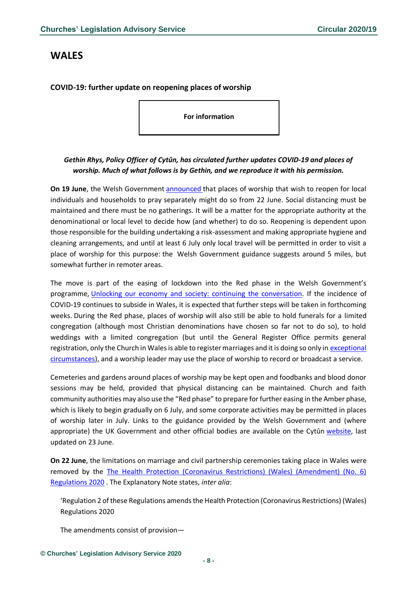# <span id="page-7-0"></span>**WALES**

### <span id="page-7-1"></span>**COVID-19: further update on reopening places of worship**

**For information** 

## *Gethin Rhys, Policy Officer of Cytûn, has circulated further updates COVID-19 and places of worship. Much of what follows is by Gethin, and we reproduce it with his permission.*

**On 19 June**, the Welsh Government **[announced](https://gov.wales/coronavirus-regulations-changes-monday-22-june)** that places of worship that wish to reopen for local individuals and households to pray separately might do so from 22 June. Social distancing must be maintained and there must be no gatherings. It will be a matter for the appropriate authority at the denominational or local level to decide how (and whether) to do so. Reopening is dependent upon those responsible for the building undertaking a risk-assessment and making appropriate hygiene and cleaning arrangements, and until at least 6 July only local travel will be permitted in order to visit a place of worship for this purpose: the Welsh Government guidance suggests around 5 miles, but somewhat further in remoter areas.

The move is part of the easing of lockdown into the Red phase in the Welsh Government's programme, [Unlocking our economy and society: continuing the conversation.](https://gov.wales/unlocking-our-society-and-economy-continuing-conversation) If the incidence of COVID-19 continues to subside in Wales, it is expected that further steps will be taken in forthcoming weeks. During the Red phase, places of worship will also still be able to hold funerals for a limited congregation (although most Christian denominations have chosen so far not to do so), to hold weddings with a limited congregation (but until the General Register Office permits general registration, only the Church in Wales is able to register marriages and it is doing so only in [exceptional](https://www.churchinwales.org.uk/en/clergy-and-members/coronavirus-covid-19-guidance/)  [circumstances\)](https://www.churchinwales.org.uk/en/clergy-and-members/coronavirus-covid-19-guidance/), and a worship leader may use the place of worship to record or broadcast a service.

Cemeteries and gardens around places of worship may be kept open and foodbanks and blood donor sessions may be held, provided that physical distancing can be maintained. Church and faith community authorities may also use the "Red phase" to prepare for further easing in the Amber phase, which is likely to begin gradually on 6 July, and some corporate activities may be permitted in places of worship later in July. Links to the guidance provided by the Welsh Government and (where appropriate) the UK Government and other official bodies are available on the Cytûn [website,](http://www.cytun.co.uk/hafan/en/covid-19-briefing-paper/) last updated on 23 June.

**On 22 June**, the limitations on marriage and civil partnership ceremonies taking place in Wales were removed by the [The Health Protection \(Coronavirus Restrictions\) \(Wales\) \(Amendment\) \(No. 6\)](http://www.legislation.gov.uk/wsi/2020/619/contents/made)  [Regulations 2020](http://www.legislation.gov.uk/wsi/2020/619/contents/made) . The Explanatory Note states, *inter alia*:

'Regulation 2 of these Regulations amends the Health Protection (Coronavirus Restrictions) (Wales) Regulations 2020

The amendments consist of provision—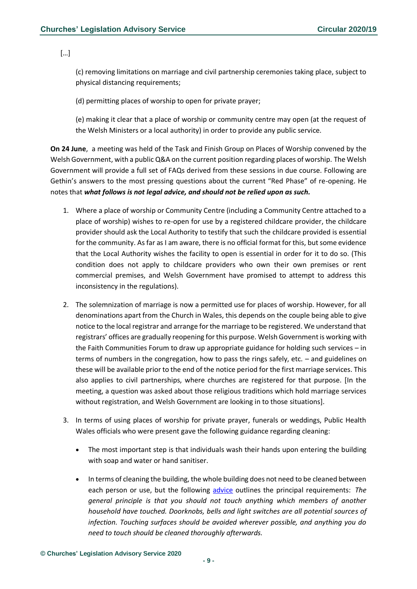[…]

(c) removing limitations on marriage and civil partnership ceremonies taking place, subject to physical distancing requirements;

(d) permitting places of worship to open for private prayer;

(e) making it clear that a place of worship or community centre may open (at the request of the Welsh Ministers or a local authority) in order to provide any public service.

**On 24 June**, a meeting was held of the Task and Finish Group on Places of Worship convened by the Welsh Government, with a public Q&A on the current position regarding places of worship. The Welsh Government will provide a full set of FAQs derived from these sessions in due course. Following are Gethin's answers to the most pressing questions about the current "Red Phase" of re-opening. He notes that *what follows is not legal advice, and should not be relied upon as such.*

- 1. Where a place of worship or Community Centre (including a Community Centre attached to a place of worship) wishes to re-open for use by a registered childcare provider, the childcare provider should ask the Local Authority to testify that such the childcare provided is essential for the community. As far as I am aware, there is no official format for this, but some evidence that the Local Authority wishes the facility to open is essential in order for it to do so. (This condition does not apply to childcare providers who own their own premises or rent commercial premises, and Welsh Government have promised to attempt to address this inconsistency in the regulations).
- 2. The solemnization of marriage is now a permitted use for places of worship. However, for all denominations apart from the Church in Wales, this depends on the couple being able to give notice to the local registrar and arrange for the marriage to be registered. We understand that registrars' offices are gradually reopening for this purpose. Welsh Government is working with the Faith Communities Forum to draw up appropriate guidance for holding such services – in terms of numbers in the congregation, how to pass the rings safely, etc. – and guidelines on these will be available prior to the end of the notice period for the first marriage services. This also applies to civil partnerships, where churches are registered for that purpose. [In the meeting, a question was asked about those religious traditions which hold marriage services without registration, and Welsh Government are looking in to those situations].
- 3. In terms of using places of worship for private prayer, funerals or weddings, Public Health Wales officials who were present gave the following guidance regarding cleaning:
	- The most important step is that individuals wash their hands upon entering the building with soap and water or hand sanitiser.
	- In terms of cleaning the building, the whole building does not need to be cleaned between each person or use, but the following [advice](https://gov.wales/guidance-staying-local-and-gatherings-coronavirus) outlines the principal requirements: *The general principle is that you should not touch anything which members of another household have touched. Doorknobs, bells and light switches are all potential sources of infection. Touching surfaces should be avoided wherever possible, and anything you do need to touch should be cleaned thoroughly afterwards.*